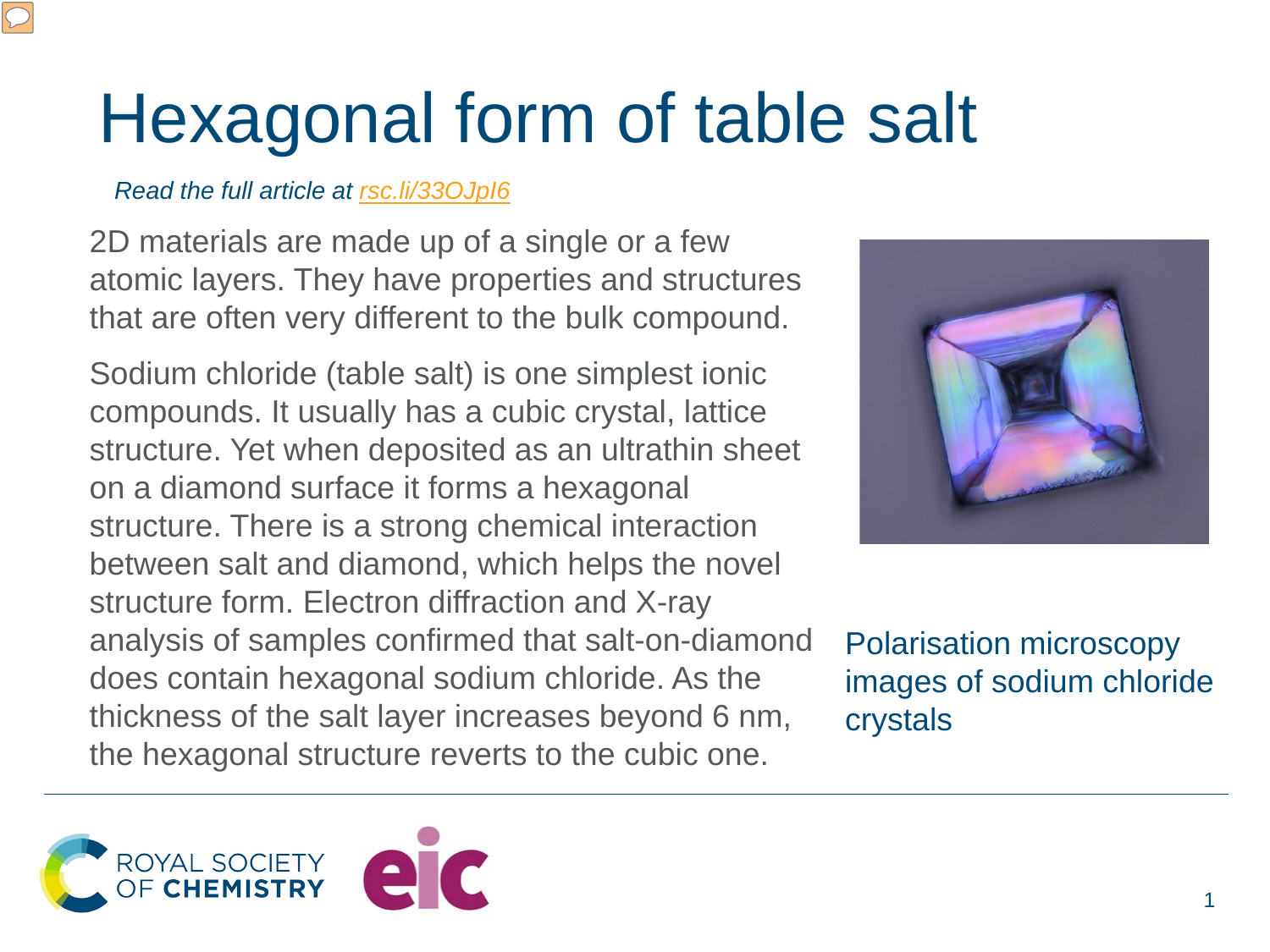## Hexagonal form of table salt

## *Read the full article at [rsc.li/33OJpI6](https://rsc.li/33OJpI6)*

2D materials are made up of a single or a few atomic layers. They have properties and structures that are often very different to the bulk compound.

Sodium chloride (table salt) is one simplest ionic compounds. It usually has a cubic crystal, lattice structure. Yet when deposited as an ultrathin sheet on a diamond surface it forms a hexagonal structure. There is a strong chemical interaction between salt and diamond, which helps the novel structure form. Electron diffraction and X-ray analysis of samples confirmed that salt-on-diamond does contain hexagonal sodium chloride. As the thickness of the salt layer increases beyond 6 nm, the hexagonal structure reverts to the cubic one.



Polarisation microscopy images of sodium chloride crystals